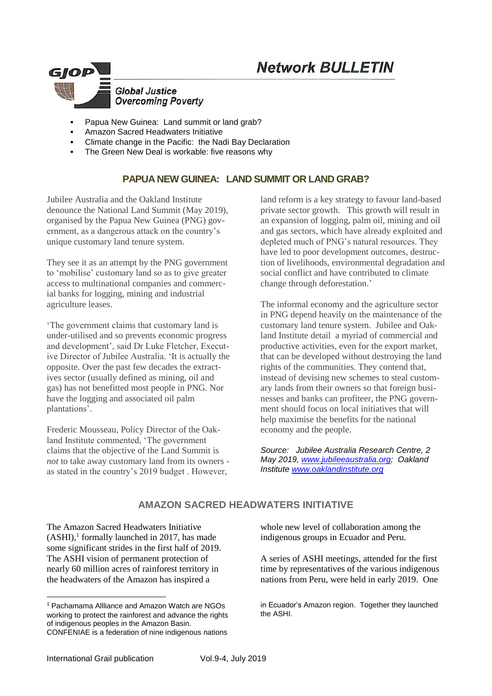# **Network BULLETIN**



- Papua New Guinea: Land summit or land grab?
- Amazon Sacred Headwaters Initiative
- Climate change in the Pacific: the Nadi Bay Declaration
- The Green New Deal is workable: five reasons why

## **PAPUA NEW GUINEA: LAND SUMMIT OR LAND GRAB?**

Jubilee Australia and the Oakland Institute denounce the National Land Summit (May 2019), organised by the Papua New Guinea (PNG) government, as a dangerous attack on the country's unique customary land tenure system.

They see it as an attempt by the PNG government to 'mobilise' customary land so as to give greater access to multinational companies and commercial banks for logging, mining and industrial agriculture leases.

'The government claims that customary land is under-utilised and so prevents economic progress and development', said Dr Luke Fletcher, Executive Director of Jubilee Australia. 'It is actually the opposite. Over the past few decades the extractives sector (usually defined as mining, oil and gas) has not benefitted most people in PNG. Nor have the logging and associated oil palm plantations'.

Frederic Mousseau, Policy Director of the Oakland Institute commented, 'The government claims that the objective of the Land Summit is *not* to take away customary land from its owners as stated in the country's 2019 budget . However,

land reform is a key strategy to favour land-based private sector growth. This growth will result in an expansion of logging, palm oil, mining and oil and gas sectors, which have already exploited and depleted much of PNG's natural resources. They have led to poor development outcomes, destruction of livelihoods, environmental degradation and social conflict and have contributed to climate change through deforestation.'

The informal economy and the agriculture sector in PNG depend heavily on the maintenance of the customary land tenure system. Jubilee and Oakland Institute detail a myriad of commercial and productive activities, even for the export market, that can be developed without destroying the land rights of the communities. They contend that, instead of devising new schemes to steal customary lands from their owners so that foreign businesses and banks can profiteer, the PNG government should focus on local initiatives that will help maximise the benefits for the national economy and the people.

*Source: Jubilee Australia Research Centre, 2 May 2019, [www.jubileeaustralia.org;](http://www.jubileeaustralia.org/) Oakland Institute [www.oaklandinstitute.org](http://www.oaklandinstitute.org/)*

# **[AMAZON SACRED HEADWATERS INITIATIVE](https://www.pachamama.org/sacred-headwaters)**

The [Amazon Sacred Headwaters Initiative](https://www.pachamama.org/sacred-headwaters)  $(ASHI),<sup>1</sup>$  formally launched in 2017, has made some significant strides in the first half of 2019. The ASHI vision of permanent protection of nearly 60 million acres of rainforest territory in the headwaters of the Amazon has inspired a

whole new level of collaboration among the indigenous groups in Ecuador and Peru.

A series of ASHI [meetings,](https://news.pachamama.org/sacred-headwaters-summit-strengthening-alliances-across-borders) attended for the first time by representatives of the various indigenous nations from Peru, were held in early 2019. One

in Ecuador's Amazon region. Together they launched the ASHI.

-

<sup>1</sup> Pachamama Allliance and Amazon Watch are NGOs working to protect the rainforest and advance the rights of indigenous peoples in the Amazon Basin. CONFENIAE is a federation of nine indigenous nations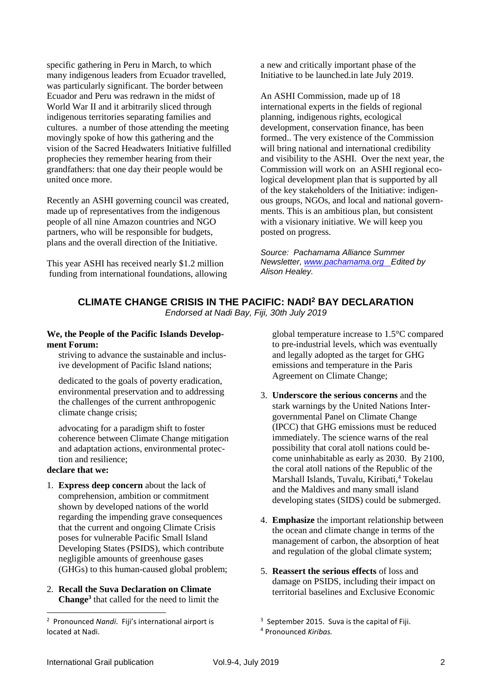specific [gathering in Peru in March,](https://news.pachamama.org/sacred-headwaters-summit-strengthening-alliances-across-borders) to which many indigenous leaders from Ecuador travelled, was particularly significant. The border between Ecuador and Peru was redrawn in the midst of World War II and it arbitrarily sliced through indigenous territories separating families and cultures. a number of those attending the meeting movingly spoke of how this gathering and the vision of the Sacred Headwaters Initiative fulfilled prophecies they remember hearing from their grandfathers: that one day their people would be united once more.

Recently an ASHI governing council was created, made up of representatives from the indigenous people of all nine Amazon countries and NGO partners, who will be responsible for budgets, plans and the overall direction of the Initiative.

This year ASHI has received nearly \$1.2 million funding from international foundations, allowing a new and critically important phase of the Initiative to be launched.in late July 2019.

An ASHI Commission, made up of 18 international experts in the fields of regional planning, indigenous rights, ecological development, conservation finance, has been formed.. The very existence of the Commission will bring national and international credibility and visibility to the ASHI. Over the next year, the Commission will work on an ASHI regional ecological development plan that is supported by all of the key stakeholders of the Initiative: indigenous groups, NGOs, and local and national governments. This is an ambitious plan, but consistent with a visionary initiative. We will keep you posted on progress.

*Source: Pachamama Alliance Summer Newsletter, [www.pachamama.org](https://www.pachamama.org/about/origin) Edited by Alison Healey.*

#### **CLIMATE CHANGE CRISIS IN THE PACIFIC: NADI<sup>2</sup> BAY DECLARATION** *Endorsed at Nadi Bay, Fiji, 30th July 2019*

**We, the People of the Pacific Islands Development Forum:** 

striving to advance the sustainable and inclusive development of Pacific Island nations;

dedicated to the goals of poverty eradication, environmental preservation and to addressing the challenges of the current anthropogenic climate change crisis;

advocating for a paradigm shift to foster coherence between Climate Change mitigation and adaptation actions, environmental protection and resilience;

### **declare that we:**

1

- 1. **Express deep concern** about the lack of comprehension, ambition or commitment shown by developed nations of the world regarding the impending grave consequences that the current and ongoing Climate Crisis poses for vulnerable Pacific Small Island Developing States (PSIDS), which contribute negligible amounts of greenhouse gases (GHGs) to this human-caused global problem;
- 2. **Recall the Suva Declaration on Climate Change<sup>3</sup>** that called for the need to limit the

global temperature increase to 1.5°C compared to pre-industrial levels, which was eventually and legally adopted as the target for GHG emissions and temperature in the Paris Agreement on Climate Change;

- 3. **Underscore the serious concerns** and the stark warnings by the United Nations Intergovernmental Panel on Climate Change (IPCC) that GHG emissions must be reduced immediately. The science warns of the real possibility that coral atoll nations could become uninhabitable as early as 2030. By 2100, the coral atoll nations of the Republic of the Marshall Islands, Tuvalu, Kiribati,<sup>4</sup> Tokelau and the Maldives and many small island developing states (SIDS) could be submerged.
- 4. **Emphasize** the important relationship between the ocean and climate change in terms of the management of carbon, the absorption of heat and regulation of the global climate system;
- 5. **Reassert the serious effects** of loss and damage on PSIDS, including their impact on territorial baselines and Exclusive Economic

<sup>2</sup> Pronounced *Nandi*. Fiji's international airport is located at Nadi.

<sup>&</sup>lt;sup>3</sup> September 2015. Suva is the capital of Fiji. <sup>4</sup> Pronounced *Kiribas.*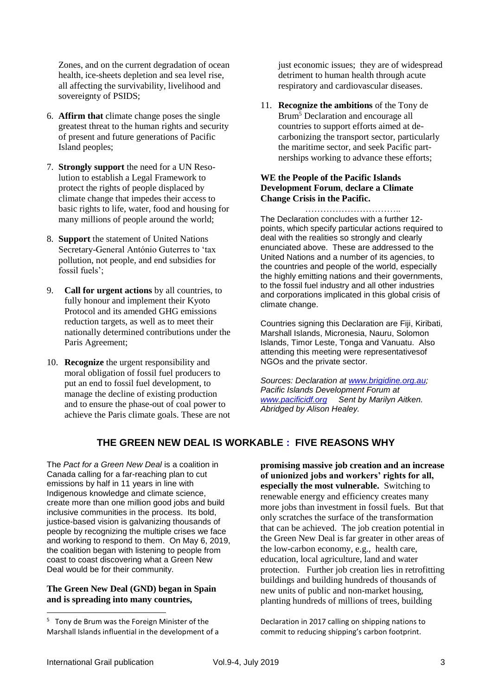Zones, and on the current degradation of ocean health, ice-sheets depletion and sea level rise, all affecting the survivability, livelihood and sovereignty of PSIDS;

- 6. **Affirm that** climate change poses the single greatest threat to the human rights and security of present and future generations of Pacific Island peoples;
- 7. **Strongly support** the need for a UN Resolution to establish a Legal Framework to protect the rights of people displaced by climate change that impedes their access to basic rights to life, water, food and housing for many millions of people around the world;
- 8. **Support** the statement of United Nations Secretary-General António Guterres to 'tax pollution, not people, and end subsidies for fossil fuels';
- 9. **Call for urgent actions** by all countries, to fully honour and implement their Kyoto Protocol and its amended GHG emissions reduction targets, as well as to meet their nationally determined contributions under the Paris Agreement;
- 10. **Recognize** the urgent responsibility and moral obligation of fossil fuel producers to put an end to fossil fuel development, to manage the decline of existing production and to ensure the phase-out of coal power to achieve the Paris climate goals. These are not

just economic issues; they are of widespread detriment to human health through acute respiratory and cardiovascular diseases.

11. **Recognize the ambitions** of the Tony de Brum<sup>5</sup> Declaration and encourage all countries to support efforts aimed at decarbonizing the transport sector, particularly the maritime sector, and seek Pacific partnerships working to advance these efforts;

#### **WE the People of the Pacific Islands Development Forum**, **declare a Climate Change Crisis in the Pacific.**

………………………….. The Declaration concludes with a further 12 points, which specify particular actions required to deal with the realities so strongly and clearly enunciated above. These are addressed to the United Nations and a number of its agencies, to the countries and people of the world, especially the highly emitting nations and their governments, to the fossil fuel industry and all other industries and corporations implicated in this global crisis of climate change.

Countries signing this Declaration are Fiji, Kiribati*,* Marshall Islands, Micronesia, Nauru, Solomon Islands, Timor Leste, Tonga and Vanuatu. Also attending this meeting were representativesof NGOs and the private sector.

*Sources: Declaration at [www.brigidine.org.au;](http://www.brigidine.org.au/) Pacific Islands Development Forum at [www.pacificidf.org](http://www.pacificidf.org/) Sent by Marilyn Aitken. Abridged by Alison Healey.*

# **THE GREEN NEW DEAL IS WORKABLE : FIVE REASONS WHY**

The *Pact for a Green New Deal* is a coalition in Canada calling for a far-reaching plan to cut emissions by half in 11 years in line with Indigenous knowledge and climate science, create more than one million good jobs and build inclusive communities in the process. Its bold, justice-based vision is galvanizing thousands of people by recognizing the multiple crises we face and working to respond to them. On May 6, 2019, the coalition began with listening to people from coast to coast discovering what a Green New Deal would be for their community.

#### **The Green New Deal (GND) began in Spain and is spreading into many countries,**

**promising massive job creation and an increase of unionized jobs and workers' rights for all, especially the most vulnerable.** Switching to renewable energy and efficiency creates many more jobs than investment in fossil fuels. But that only scratches the surface of the transformation that can be achieved. The job creation potential in the Green New Deal is far greater in other areas of the low-carbon economy, e.g., health care, education, local agriculture, land and water protection. Further job creation lies in retrofitting buildings and building hundreds of thousands of new units of public and non-market housing, planting hundreds of millions of trees, building

Declaration in 2017 calling on shipping nations to commit to reducing shipping's carbon footprint.

1

<sup>&</sup>lt;sup>5</sup> Tony de Brum was the Foreign Minister of the Marshall Islands influential in the development of a